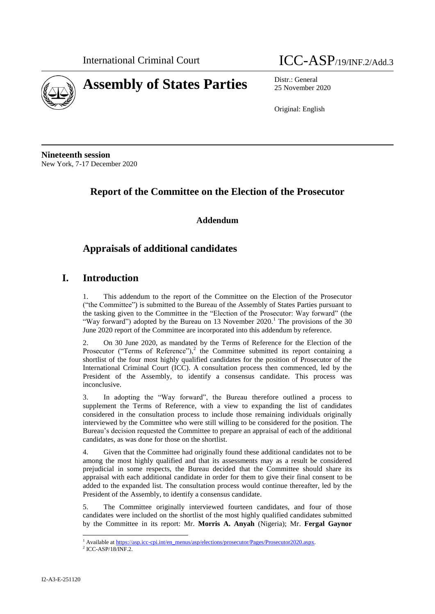

25 November 2020

Original: English

**Nineteenth session** New York, 7-17 December 2020

# **Report of the Committee on the Election of the Prosecutor**

**Addendum**

# **Appraisals of additional candidates**

## **I. Introduction**

1. This addendum to the report of the Committee on the Election of the Prosecutor ("the Committee") is submitted to the Bureau of the Assembly of States Parties pursuant to the tasking given to the Committee in the "Election of the Prosecutor: Way forward" (the "Way forward") adopted by the Bureau on 13 November  $2020$ .<sup>1</sup> The provisions of the 30 June 2020 report of the Committee are incorporated into this addendum by reference.

2. On 30 June 2020, as mandated by the Terms of Reference for the Election of the Prosecutor ("Terms of Reference"),<sup>2</sup> the Committee submitted its report containing a shortlist of the four most highly qualified candidates for the position of Prosecutor of the International Criminal Court (ICC). A consultation process then commenced, led by the President of the Assembly, to identify a consensus candidate. This process was inconclusive.

3. In adopting the "Way forward", the Bureau therefore outlined a process to supplement the Terms of Reference, with a view to expanding the list of candidates considered in the consultation process to include those remaining individuals originally interviewed by the Committee who were still willing to be considered for the position. The Bureau's decision requested the Committee to prepare an appraisal of each of the additional candidates, as was done for those on the shortlist.

4. Given that the Committee had originally found these additional candidates not to be among the most highly qualified and that its assessments may as a result be considered prejudicial in some respects, the Bureau decided that the Committee should share its appraisal with each additional candidate in order for them to give their final consent to be added to the expanded list. The consultation process would continue thereafter, led by the President of the Assembly, to identify a consensus candidate.

5. The Committee originally interviewed fourteen candidates, and four of those candidates were included on the shortlist of the most highly qualified candidates submitted by the Committee in its report: Mr. **Morris A. Anyah** (Nigeria); Mr. **Fergal Gaynor**

l <sup>1</sup> Available at [https://asp.icc-cpi.int/en\\_menus/asp/elections/prosecutor/Pages/Prosecutor2020.aspx.](https://asp.icc-cpi.int/en_menus/asp/elections/prosecutor/Pages/Prosecutor2020.aspx)

<sup>2</sup> ICC-ASP/18/INF.2.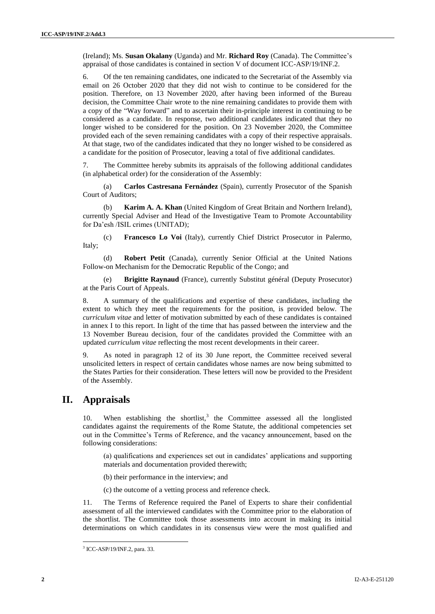(Ireland); Ms. **Susan Okalany** (Uganda) and Mr. **Richard Roy** (Canada). The Committee's appraisal of those candidates is contained in section V of document ICC-ASP/19/INF.2.

6. Of the ten remaining candidates, one indicated to the Secretariat of the Assembly via email on 26 October 2020 that they did not wish to continue to be considered for the position. Therefore, on 13 November 2020, after having been informed of the Bureau decision, the Committee Chair wrote to the nine remaining candidates to provide them with a copy of the "Way forward" and to ascertain their in-principle interest in continuing to be considered as a candidate. In response, two additional candidates indicated that they no longer wished to be considered for the position. On 23 November 2020, the Committee provided each of the seven remaining candidates with a copy of their respective appraisals. At that stage, two of the candidates indicated that they no longer wished to be considered as a candidate for the position of Prosecutor, leaving a total of five additional candidates.

7. The Committee hereby submits its appraisals of the following additional candidates (in alphabetical order) for the consideration of the Assembly:

(a) **Carlos Castresana Fernández** (Spain), currently Prosecutor of the Spanish Court of Auditors;

(b) **Karim A. A. Khan** (United Kingdom of Great Britain and Northern Ireland), currently Special Adviser and Head of the Investigative Team to Promote Accountability for Da'esh /ISIL crimes (UNITAD);

(c) **Francesco Lo Voi** (Italy), currently Chief District Prosecutor in Palermo, Italy;

(d) **Robert Petit** (Canada), currently Senior Official at the United Nations Follow-on Mechanism for the Democratic Republic of the Congo; and

(e) **Brigitte Raynaud** (France), currently Substitut général (Deputy Prosecutor) at the Paris Court of Appeals.

8. A summary of the qualifications and expertise of these candidates, including the extent to which they meet the requirements for the position, is provided below. The *curriculum vitae* and letter of motivation submitted by each of these candidates is contained in annex I to this report. In light of the time that has passed between the interview and the 13 November Bureau decision, four of the candidates provided the Committee with an updated *curriculum vitae* reflecting the most recent developments in their career.

9. As noted in paragraph 12 of its 30 June report, the Committee received several unsolicited letters in respect of certain candidates whose names are now being submitted to the States Parties for their consideration. These letters will now be provided to the President of the Assembly.

## **II. Appraisals**

10. When establishing the shortlist,<sup>3</sup> the Committee assessed all the longlisted candidates against the requirements of the Rome Statute, the additional competencies set out in the Committee's Terms of Reference, and the vacancy announcement, based on the following considerations:

(a) qualifications and experiences set out in candidates' applications and supporting materials and documentation provided therewith;

(b) their performance in the interview; and

(c) the outcome of a vetting process and reference check.

11. The Terms of Reference required the Panel of Experts to share their confidential assessment of all the interviewed candidates with the Committee prior to the elaboration of the shortlist. The Committee took those assessments into account in making its initial determinations on which candidates in its consensus view were the most qualified and

 $\overline{\phantom{a}}$ 

<sup>3</sup> ICC-ASP/19/INF.2, para. 33.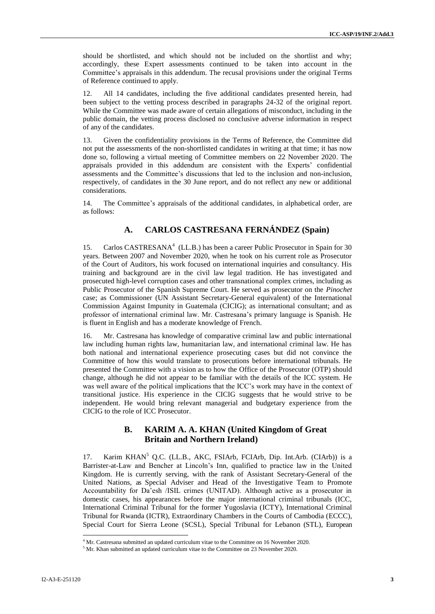should be shortlisted, and which should not be included on the shortlist and why; accordingly, these Expert assessments continued to be taken into account in the Committee's appraisals in this addendum. The recusal provisions under the original Terms of Reference continued to apply.

12. All 14 candidates, including the five additional candidates presented herein, had been subject to the vetting process described in paragraphs 24-32 of the original report. While the Committee was made aware of certain allegations of misconduct, including in the public domain, the vetting process disclosed no conclusive adverse information in respect of any of the candidates.

13. Given the confidentiality provisions in the Terms of Reference, the Committee did not put the assessments of the non-shortlisted candidates in writing at that time; it has now done so, following a virtual meeting of Committee members on 22 November 2020. The appraisals provided in this addendum are consistent with the Experts' confidential assessments and the Committee's discussions that led to the inclusion and non-inclusion, respectively, of candidates in the 30 June report, and do not reflect any new or additional considerations.

14. The Committee's appraisals of the additional candidates, in alphabetical order, are as follows:

## **A. CARLOS CASTRESANA FERNÁNDEZ (Spain)**

15. Carlos CASTRESANA<sup>4</sup> (LL.B.) has been a career Public Prosecutor in Spain for 30 years. Between 2007 and November 2020, when he took on his current role as Prosecutor of the Court of Auditors, his work focused on international inquiries and consultancy. His training and background are in the civil law legal tradition. He has investigated and prosecuted high-level corruption cases and other transnational complex crimes, including as Public Prosecutor of the Spanish Supreme Court. He served as prosecutor on the *Pinochet*  case; as Commissioner (UN Assistant Secretary-General equivalent) of the International Commission Against Impunity in Guatemala (CICIG); as international consultant; and as professor of international criminal law. Mr. Castresana's primary language is Spanish. He is fluent in English and has a moderate knowledge of French.

16. Mr. Castresana has knowledge of comparative criminal law and public international law including human rights law, humanitarian law, and international criminal law. He has both national and international experience prosecuting cases but did not convince the Committee of how this would translate to prosecutions before international tribunals. He presented the Committee with a vision as to how the Office of the Prosecutor (OTP) should change, although he did not appear to be familiar with the details of the ICC system. He was well aware of the political implications that the ICC's work may have in the context of transitional justice. His experience in the CICIG suggests that he would strive to be independent. He would bring relevant managerial and budgetary experience from the CICIG to the role of ICC Prosecutor.

#### **B. KARIM A. A. KHAN (United Kingdom of Great Britain and Northern Ireland)**

17. Karim KHAN<sup>5</sup> Q.C. (LL.B., AKC, FSIArb, FCIArb, Dip. Int.Arb. (CIArb)) is a Barrister-at-Law and Bencher at Lincoln's Inn, qualified to practice law in the United Kingdom. He is currently serving, with the rank of Assistant Secretary-General of the United Nations, as Special Adviser and Head of the Investigative Team to Promote Accountability for Da'esh /ISIL crimes (UNITAD). Although active as a prosecutor in domestic cases, his appearances before the major international criminal tribunals (ICC, International Criminal Tribunal for the former Yugoslavia (ICTY), International Criminal Tribunal for Rwanda (ICTR), Extraordinary Chambers in the Courts of Cambodia (ECCC), Special Court for Sierra Leone (SCSL), Special Tribunal for Lebanon (STL), European

l

<sup>&</sup>lt;sup>4</sup> Mr. Castresana submitted an updated curriculum vitae to the Committee on 16 November 2020.

 $5$  Mr. Khan submitted an updated curriculum vitae to the Committee on 23 November 2020.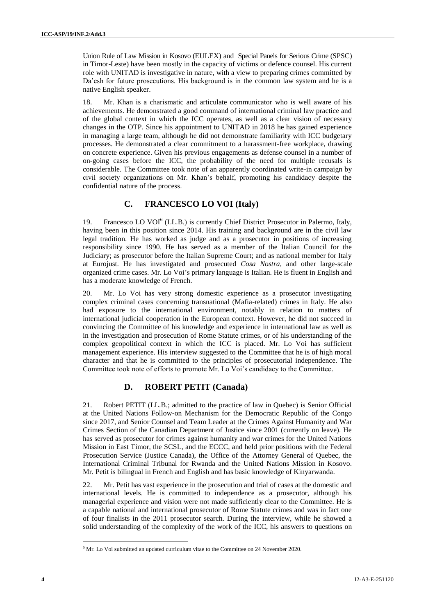Union Rule of Law Mission in Kosovo (EULEX) and Special Panels for Serious Crime (SPSC) in Timor-Leste) have been mostly in the capacity of victims or defence counsel. His current role with UNITAD is investigative in nature, with a view to preparing crimes committed by Da'esh for future prosecutions. His background is in the common law system and he is a native English speaker.

18. Mr. Khan is a charismatic and articulate communicator who is well aware of his achievements. He demonstrated a good command of international criminal law practice and of the global context in which the ICC operates, as well as a clear vision of necessary changes in the OTP. Since his appointment to UNITAD in 2018 he has gained experience in managing a large team, although he did not demonstrate familiarity with ICC budgetary processes. He demonstrated a clear commitment to a harassment-free workplace, drawing on concrete experience. Given his previous engagements as defense counsel in a number of on-going cases before the ICC, the probability of the need for multiple recusals is considerable. The Committee took note of an apparently coordinated write-in campaign by civil society organizations on Mr. Khan's behalf, promoting his candidacy despite the confidential nature of the process.

#### **C. FRANCESCO LO VOI (Italy)**

19. Francesco LO VOI<sup>6</sup> (LL.B.) is currently Chief District Prosecutor in Palermo, Italy, having been in this position since 2014. His training and background are in the civil law legal tradition. He has worked as judge and as a prosecutor in positions of increasing responsibility since 1990. He has served as a member of the Italian Council for the Judiciary; as prosecutor before the Italian Supreme Court; and as national member for Italy at Eurojust. He has investigated and prosecuted *Cosa Nostra,* and other large-scale organized crime cases. Mr. Lo Voi's primary language is Italian. He is fluent in English and has a moderate knowledge of French.

20. Mr. Lo Voi has very strong domestic experience as a prosecutor investigating complex criminal cases concerning transnational (Mafia-related) crimes in Italy. He also had exposure to the international environment, notably in relation to matters of international judicial cooperation in the European context. However, he did not succeed in convincing the Committee of his knowledge and experience in international law as well as in the investigation and prosecution of Rome Statute crimes, or of his understanding of the complex geopolitical context in which the ICC is placed. Mr. Lo Voi has sufficient management experience. His interview suggested to the Committee that he is of high moral character and that he is committed to the principles of prosecutorial independence. The Committee took note of efforts to promote Mr. Lo Voi's candidacy to the Committee.

#### **D. ROBERT PETIT (Canada)**

21. Robert PETIT (LL.B.; admitted to the practice of law in Quebec) is Senior Official at the United Nations Follow-on Mechanism for the Democratic Republic of the Congo since 2017, and Senior Counsel and Team Leader at the Crimes Against Humanity and War Crimes Section of the Canadian Department of Justice since 2001 (currently on leave). He has served as prosecutor for crimes against humanity and war crimes for the United Nations Mission in East Timor, the SCSL, and the ECCC, and held prior positions with the Federal Prosecution Service (Justice Canada), the Office of the Attorney General of Quebec, the International Criminal Tribunal for Rwanda and the United Nations Mission in Kosovo. Mr. Petit is bilingual in French and English and has basic knowledge of Kinyarwanda.

22. Mr. Petit has vast experience in the prosecution and trial of cases at the domestic and international levels. He is committed to independence as a prosecutor, although his managerial experience and vision were not made sufficiently clear to the Committee. He is a capable national and international prosecutor of Rome Statute crimes and was in fact one of four finalists in the 2011 prosecutor search. During the interview, while he showed a solid understanding of the complexity of the work of the ICC, his answers to questions on

 $\overline{\phantom{a}}$ 

 $6$  Mr. Lo Voi submitted an updated curriculum vitae to the Committee on 24 November 2020.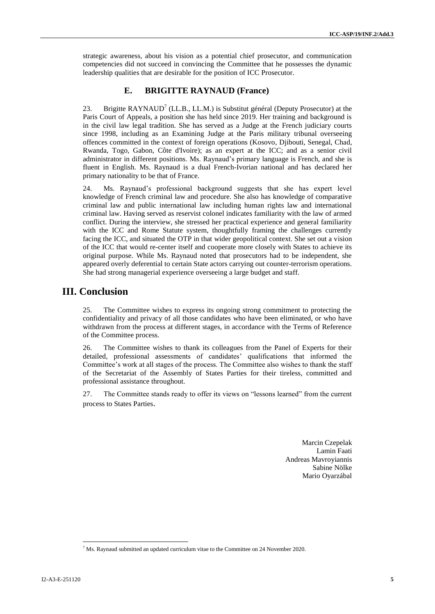strategic awareness, about his vision as a potential chief prosecutor, and communication competencies did not succeed in convincing the Committee that he possesses the dynamic leadership qualities that are desirable for the position of ICC Prosecutor.

#### **E. BRIGITTE RAYNAUD (France)**

23. Brigitte  $\text{RAYNAUD}^7$  (LL.B., LL.M.) is Substitut général (Deputy Prosecutor) at the Paris Court of Appeals, a position she has held since 2019. Her training and background is in the civil law legal tradition. She has served as a Judge at the French judiciary courts since 1998, including as an Examining Judge at the Paris military tribunal overseeing offences committed in the context of foreign operations (Kosovo, Djibouti, Senegal, Chad, Rwanda, Togo, Gabon, Côte d'Ivoire); as an expert at the ICC; and as a senior civil administrator in different positions. Ms. Raynaud's primary language is French, and she is fluent in English. Ms. Raynaud is a dual French-Ivorian national and has declared her primary nationality to be that of France.

24. Ms. Raynaud's professional background suggests that she has expert level knowledge of French criminal law and procedure. She also has knowledge of comparative criminal law and public international law including human rights law and international criminal law. Having served as reservist colonel indicates familiarity with the law of armed conflict. During the interview, she stressed her practical experience and general familiarity with the ICC and Rome Statute system, thoughtfully framing the challenges currently facing the ICC, and situated the OTP in that wider geopolitical context. She set out a vision of the ICC that would re-center itself and cooperate more closely with States to achieve its original purpose. While Ms. Raynaud noted that prosecutors had to be independent, she appeared overly deferential to certain State actors carrying out counter-terrorism operations. She had strong managerial experience overseeing a large budget and staff.

## **III. Conclusion**

25. The Committee wishes to express its ongoing strong commitment to protecting the confidentiality and privacy of all those candidates who have been eliminated, or who have withdrawn from the process at different stages, in accordance with the Terms of Reference of the Committee process.

26. The Committee wishes to thank its colleagues from the Panel of Experts for their detailed, professional assessments of candidates' qualifications that informed the Committee's work at all stages of the process. The Committee also wishes to thank the staff of the Secretariat of the Assembly of States Parties for their tireless, committed and professional assistance throughout.

27. The Committee stands ready to offer its views on "lessons learned" from the current process to States Parties.

> Marcin Czepelak Lamin Faati Andreas Mavroyiannis Sabine Nölke Mario Oyarzábal

 $\overline{\phantom{a}}$ 

 $7$  Ms. Raynaud submitted an updated curriculum vitae to the Committee on 24 November 2020.